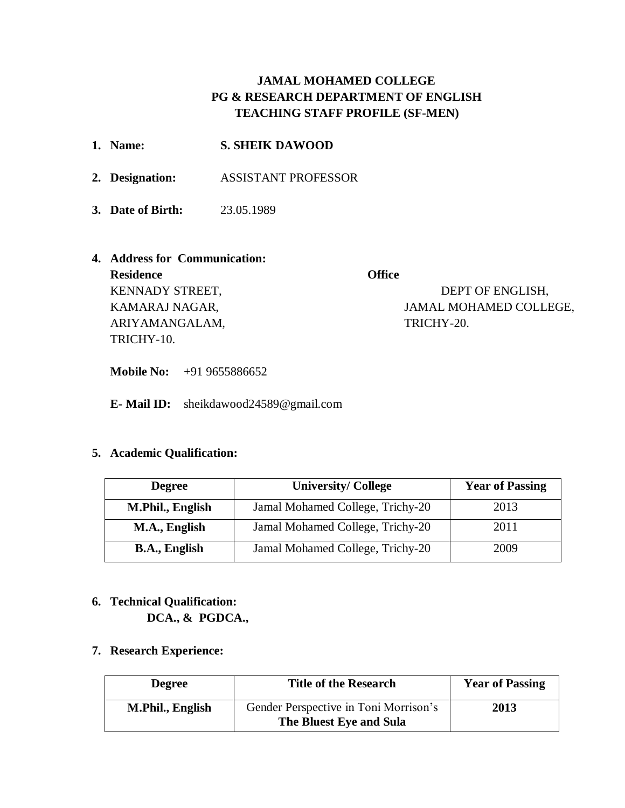# **JAMAL MOHAMED COLLEGE PG & RESEARCH DEPARTMENT OF ENGLISH TEACHING STAFF PROFILE (SF-MEN)**

| 1. Name:                      | <b>S. SHEIK DAWOOD</b>     |                        |
|-------------------------------|----------------------------|------------------------|
| 2. Designation:               | <b>ASSISTANT PROFESSOR</b> |                        |
| 3. Date of Birth:             | 23.05.1989                 |                        |
| 4. Address for Communication: |                            |                        |
| <b>Residence</b>              |                            | <b>Office</b>          |
| <b>KENNADY STREET,</b>        |                            | DEPT OF ENGLISH,       |
| KAMARAJ NAGAR,                |                            | JAMAL MOHAMED COLLEGE, |
| ARIYAMANGALAM,                |                            | TRICHY-20.             |

**Mobile No:** +91 9655886652

**E- Mail ID:** sheikdawood24589@gmail.com

## **5. Academic Qualification:**

TRICHY-10.

| <b>Degree</b>        | <b>University/College</b>        | <b>Year of Passing</b> |
|----------------------|----------------------------------|------------------------|
| M.Phil., English     | Jamal Mohamed College, Trichy-20 | 2013                   |
| M.A., English        | Jamal Mohamed College, Trichy-20 | 2011                   |
| <b>B.A., English</b> | Jamal Mohamed College, Trichy-20 | 2009                   |

## **6. Technical Qualification: DCA., & PGDCA.,**

**7. Research Experience:**

| <b>Degree</b>    | <b>Title of the Research</b>                                     | <b>Year of Passing</b> |
|------------------|------------------------------------------------------------------|------------------------|
| M.Phil., English | Gender Perspective in Toni Morrison's<br>The Bluest Eye and Sula | 2013                   |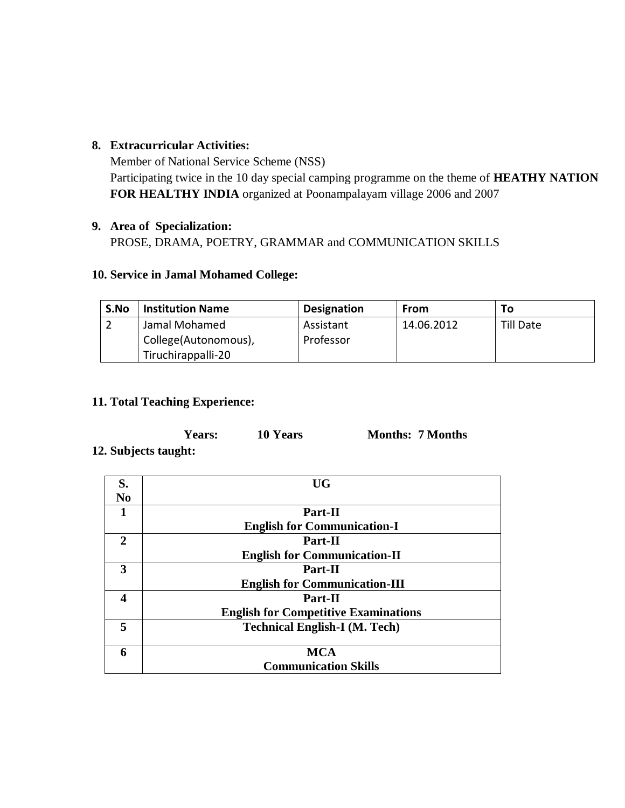### **8. Extracurricular Activities:**

Member of National Service Scheme (NSS) Participating twice in the 10 day special camping programme on the theme of **HEATHY NATION FOR HEALTHY INDIA** organized at Poonampalayam village 2006 and 2007

# **9. Area of Specialization:**

PROSE, DRAMA, POETRY, GRAMMAR and COMMUNICATION SKILLS

## **10. Service in Jamal Mohamed College:**

| S.No | <b>Institution Name</b>                                     | <b>Designation</b>     | From       | ΤО               |  |
|------|-------------------------------------------------------------|------------------------|------------|------------------|--|
|      | Jamal Mohamed<br>College(Autonomous),<br>Tiruchirappalli-20 | Assistant<br>Professor | 14.06.2012 | <b>Till Date</b> |  |

## **11. Total Teaching Experience:**

| Years:            | 10 Years | <b>Months: 7 Months</b> |
|-------------------|----------|-------------------------|
| 4. <b>1. 4.</b> . |          |                         |

### **12. Subjects taught:**

| S.             | <b>UG</b>                                   |
|----------------|---------------------------------------------|
| N <sub>0</sub> |                                             |
| 1              | Part-II                                     |
|                | <b>English for Communication-I</b>          |
| 2              | Part-II                                     |
|                | <b>English for Communication-II</b>         |
| 3              | Part-II                                     |
|                | <b>English for Communication-III</b>        |
| 4              | Part-II                                     |
|                | <b>English for Competitive Examinations</b> |
| 5              | <b>Technical English-I (M. Tech)</b>        |
|                |                                             |
| 6              | <b>MCA</b>                                  |
|                | <b>Communication Skills</b>                 |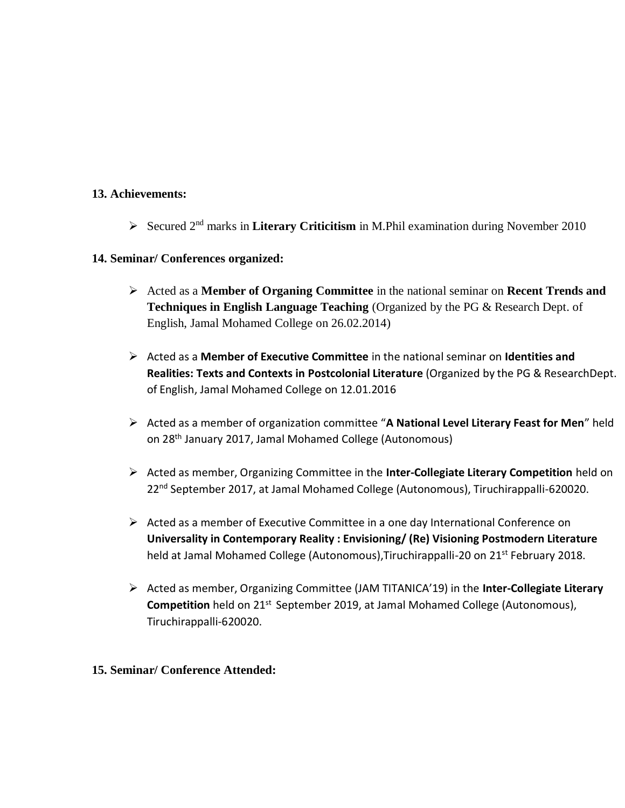#### **13. Achievements:**

Secured 2nd marks in **Literary Criticitism** in M.Phil examination during November 2010

#### **14. Seminar/ Conferences organized:**

- Acted as a **Member of Organing Committee** in the national seminar on **Recent Trends and Techniques in English Language Teaching** (Organized by the PG & Research Dept. of English, Jamal Mohamed College on 26.02.2014)
- Acted as a **Member of Executive Committee** in the national seminar on **Identities and Realities: Texts and Contexts in Postcolonial Literature** (Organized by the PG & ResearchDept. of English, Jamal Mohamed College on 12.01.2016
- Acted as a member of organization committee "**A National Level Literary Feast for Men**" held on 28th January 2017, Jamal Mohamed College (Autonomous)
- Acted as member, Organizing Committee in the **Inter-Collegiate Literary Competition** held on 22<sup>nd</sup> September 2017, at Jamal Mohamed College (Autonomous), Tiruchirappalli-620020.
- $\triangleright$  Acted as a member of Executive Committee in a one day International Conference on **Universality in Contemporary Reality : Envisioning/ (Re) Visioning Postmodern Literature** held at Jamal Mohamed College (Autonomous), Tiruchirappalli-20 on 21<sup>st</sup> February 2018.
- Acted as member, Organizing Committee (JAM TITANICA'19) in the **Inter-Collegiate Literary Competition** held on 21<sup>st</sup> September 2019, at Jamal Mohamed College (Autonomous), Tiruchirappalli-620020.

#### **15. Seminar/ Conference Attended:**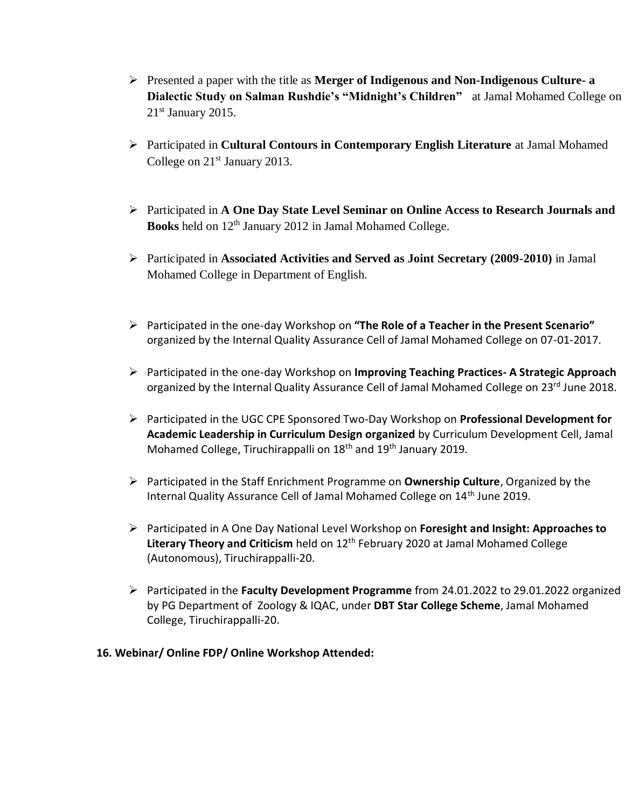- Presented a paper with the title as **Merger of Indigenous and Non-Indigenous Culture- a Dialectic Study on Salman Rushdie's "Midnight's Children"** at Jamal Mohamed College on  $21<sup>st</sup>$  January 2015.
- Participated in **Cultural Contours in Contemporary English Literature** at Jamal Mohamed College on 21<sup>st</sup> January 2013.
- Participated in **A One Day State Level Seminar on Online Access to Research Journals and Books** held on 12<sup>th</sup> January 2012 in Jamal Mohamed College.
- Participated in **Associated Activities and Served as Joint Secretary (2009-2010)** in Jamal Mohamed College in Department of English.
- Participated in the one-day Workshop on **"The Role of a Teacher in the Present Scenario"** organized by the Internal Quality Assurance Cell of Jamal Mohamed College on 07-01-2017.
- Participated in the one-day Workshop on **Improving Teaching Practices- A Strategic Approach** organized by the Internal Quality Assurance Cell of Jamal Mohamed College on 23rd June 2018.
- Participated in the UGC CPE Sponsored Two-Day Workshop on **Professional Development for Academic Leadership in Curriculum Design organized** by Curriculum Development Cell, Jamal Mohamed College, Tiruchirappalli on 18<sup>th</sup> and 19<sup>th</sup> January 2019.
- Participated in the Staff Enrichment Programme on **Ownership Culture**, Organized by the Internal Quality Assurance Cell of Jamal Mohamed College on 14<sup>th</sup> June 2019.
- Participated in A One Day National Level Workshop on **Foresight and Insight: Approaches to**  Literary Theory and Criticism held on 12<sup>th</sup> February 2020 at Jamal Mohamed College (Autonomous), Tiruchirappalli-20.
- Participated in the **Faculty Development Programme** from 24.01.2022 to 29.01.2022 organized by PG Department of Zoology & IQAC, under **DBT Star College Scheme**, Jamal Mohamed College, Tiruchirappalli-20.

### **16. Webinar/ Online FDP/ Online Workshop Attended:**